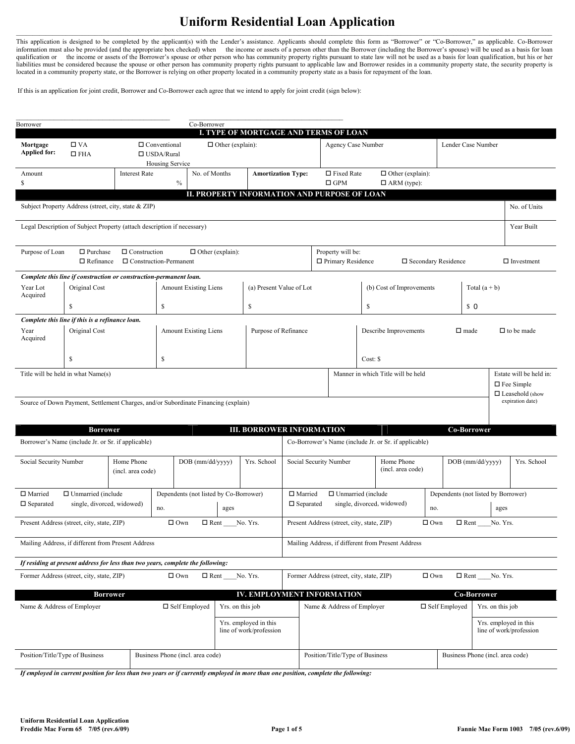## **Uniform Residential Loan Application**  $\mathcal{L}_\text{max} = \mathcal{L}_\text{max} = \mathcal{L}_\text{max} = \mathcal{L}_\text{max} = \mathcal{L}_\text{max} = \mathcal{L}_\text{max} = \mathcal{L}_\text{max} = \mathcal{L}_\text{max} = \mathcal{L}_\text{max} = \mathcal{L}_\text{max} = \mathcal{L}_\text{max} = \mathcal{L}_\text{max} = \mathcal{L}_\text{max} = \mathcal{L}_\text{max} = \mathcal{L}_\text{max} = \mathcal{L}_\text{max} = \mathcal{L}_\text{max} = \mathcal{L}_\text{max} = \mathcal{$

This application is designed to be completed by the applicant(s) with the Lender's assistance. Applicants should complete this form as "Borrower" or "Co-Borrower," as applicable. Co-Borrower information must also be provided (and the appropriate box checked) when the income or assets of a person other than the Borrower (including the Borrower's spouse) will be used as a basis for loan qualification or the income or assets of the Borrower's spouse or other person who has community property rights pursuant to state law will not be used as a basis for loan qualification, but his or her liabilities must be considered because the spouse or other person has community property rights pursuant to applicable law and Borrower resides in a community property state, the security property is located in a community property state, or the Borrower is relying on other property located in a community property state as a basis for repayment of the loan.

If this is an application for joint credit, Borrower and Co-Borrower each agree that we intend to apply for joint credit (sign below):

| Borrower                        |                                                                                 |                                                      |                                                                    | Co-Borrower                                                                        |                                                  |                  |                        |                                               |       |                                                       |                    |                                     |                                  |                  |                                                  |
|---------------------------------|---------------------------------------------------------------------------------|------------------------------------------------------|--------------------------------------------------------------------|------------------------------------------------------------------------------------|--------------------------------------------------|------------------|------------------------|-----------------------------------------------|-------|-------------------------------------------------------|--------------------|-------------------------------------|----------------------------------|------------------|--------------------------------------------------|
|                                 |                                                                                 |                                                      |                                                                    | <b>I. TYPE OF MORTGAGE AND TERMS OF LOAN</b>                                       |                                                  |                  |                        |                                               |       |                                                       |                    |                                     |                                  |                  |                                                  |
| Mortgage<br><b>Applied for:</b> | $\Box$ VA<br>$\square$ FHA                                                      |                                                      | $\Box$ Conventional<br>$\Box$ USDA/Rural<br><b>Housing Service</b> | $\Box$ Other (explain):                                                            |                                                  |                  |                        | <b>Agency Case Number</b>                     |       |                                                       | Lender Case Number |                                     |                                  |                  |                                                  |
| Amount<br>\$                    |                                                                                 | <b>Interest Rate</b>                                 | $\%$                                                               | No. of Months                                                                      | <b>Amortization Type:</b>                        |                  |                        | $\Box$ Fixed Rate<br>$\Box$ GPM               |       | $\Box$ Other (explain):<br>$\Box$ ARM (type):         |                    |                                     |                                  |                  |                                                  |
|                                 |                                                                                 |                                                      |                                                                    | II. PROPERTY INFORMATION AND PURPOSE OF LOAN                                       |                                                  |                  |                        |                                               |       |                                                       |                    |                                     |                                  |                  |                                                  |
|                                 | Subject Property Address (street, city, state & ZIP)                            |                                                      |                                                                    |                                                                                    |                                                  |                  |                        |                                               |       |                                                       |                    |                                     |                                  |                  | No. of Units                                     |
|                                 | Legal Description of Subject Property (attach description if necessary)         |                                                      |                                                                    |                                                                                    |                                                  |                  |                        |                                               |       |                                                       |                    |                                     |                                  |                  | Year Built                                       |
| Purpose of Loan                 | $\Box$ Purchase<br>$\Box$ Refinance                                             | $\Box$ Construction<br>$\Box$ Construction-Permanent |                                                                    | $\Box$ Other (explain):                                                            |                                                  |                  |                        | Property will be:<br>$\Box$ Primary Residence |       |                                                       |                    | $\square$ Secondary Residence       |                                  |                  | $\Box$ Investment                                |
|                                 | Complete this line if construction or construction-permanent loan.              |                                                      |                                                                    |                                                                                    |                                                  |                  |                        |                                               |       |                                                       |                    |                                     |                                  |                  |                                                  |
| Year Lot<br>Acquired            | Original Cost                                                                   |                                                      |                                                                    | <b>Amount Existing Liens</b>                                                       | (a) Present Value of Lot                         |                  |                        |                                               |       | (b) Cost of Improvements                              |                    |                                     | Total $(a + b)$                  |                  |                                                  |
|                                 | S                                                                               |                                                      | \$                                                                 |                                                                                    | \$                                               |                  |                        |                                               | \$    |                                                       |                    |                                     | $\Omega$                         |                  |                                                  |
|                                 | Complete this line if this is a refinance loan.                                 |                                                      |                                                                    |                                                                                    |                                                  |                  |                        |                                               |       |                                                       |                    |                                     |                                  |                  |                                                  |
| Year<br>Acquired                | Original Cost                                                                   |                                                      |                                                                    | <b>Amount Existing Liens</b>                                                       | Purpose of Refinance                             |                  |                        |                                               |       | Describe Improvements                                 |                    |                                     | $\Box$ made                      |                  | $\Box$ to be made                                |
|                                 | S                                                                               |                                                      | \$                                                                 |                                                                                    |                                                  |                  |                        |                                               | Cost: |                                                       |                    |                                     |                                  |                  |                                                  |
|                                 | Title will be held in what Name(s)                                              |                                                      |                                                                    |                                                                                    |                                                  |                  |                        |                                               |       | Manner in which Title will be held                    |                    |                                     |                                  |                  | Estate will be held in:                          |
|                                 |                                                                                 |                                                      |                                                                    |                                                                                    |                                                  |                  |                        |                                               |       |                                                       |                    |                                     |                                  |                  | $\Box$ Fee Simple<br>$\Box$ Leasehold (show      |
|                                 |                                                                                 |                                                      |                                                                    | Source of Down Payment, Settlement Charges, and/or Subordinate Financing (explain) |                                                  |                  |                        |                                               |       |                                                       |                    |                                     |                                  |                  | expiration date)                                 |
|                                 | <b>Borrower</b>                                                                 |                                                      |                                                                    |                                                                                    | <b>III. BORROWER INFORMATION</b>                 |                  |                        |                                               |       |                                                       |                    |                                     | Co-Borrower                      |                  |                                                  |
|                                 | Borrower's Name (include Jr. or Sr. if applicable)                              |                                                      |                                                                    |                                                                                    |                                                  |                  |                        |                                               |       | Co-Borrower's Name (include Jr. or Sr. if applicable) |                    |                                     |                                  |                  |                                                  |
| Social Security Number          |                                                                                 | Home Phone<br>(incl. area code)                      |                                                                    | DOB (mm/dd/yyyy)                                                                   | Yrs. School                                      |                  | Social Security Number |                                               |       | Home Phone<br>(incl. area code)                       |                    |                                     | DOB (mm/dd/yyyy)                 |                  | Yrs. School                                      |
| $\Box$ Married                  | $\Box$ Unmarried (include                                                       |                                                      |                                                                    | Dependents (not listed by Co-Borrower)                                             |                                                  | $\Box$ Married   |                        | $\Box$ Unmarried (include                     |       |                                                       |                    | Dependents (not listed by Borrower) |                                  |                  |                                                  |
| $\Box$ Separated                | single, divorced, widowed)                                                      |                                                      | no.                                                                | ages                                                                               |                                                  | $\Box$ Separated |                        |                                               |       | single, divorced, widowed)                            |                    | no.                                 |                                  | ages             |                                                  |
|                                 | Present Address (street, city, state, ZIP)                                      |                                                      | $\Box$ Own                                                         | $\Box$ Rent                                                                        | No. Yrs.                                         |                  |                        | Present Address (street, city, state, ZIP)    |       |                                                       | $\Box$ Own         |                                     | $\Box$ Rent                      | No. Yrs.         |                                                  |
|                                 | Mailing Address, if different from Present Address                              |                                                      |                                                                    |                                                                                    |                                                  |                  |                        |                                               |       | Mailing Address, if different from Present Address    |                    |                                     |                                  |                  |                                                  |
|                                 | If residing at present address for less than two years, complete the following: |                                                      |                                                                    |                                                                                    |                                                  |                  |                        |                                               |       |                                                       |                    |                                     |                                  |                  |                                                  |
|                                 | Former Address (street, city, state, ZIP)                                       |                                                      | $\Box$ Own                                                         | $\Box$ Rent                                                                        | No. Yrs.                                         |                  |                        | Former Address (street, city, state, ZIP)     |       |                                                       | $\Box$ Own         |                                     | $\Box$ Rent No. Yrs.             |                  |                                                  |
|                                 | <b>Borrower</b>                                                                 |                                                      |                                                                    |                                                                                    | IV. EMPLOYMENT INFORMATION                       |                  |                        |                                               |       |                                                       |                    |                                     | Co-Borrower                      |                  |                                                  |
| Name & Address of Employer      |                                                                                 |                                                      | $\Box$ Self Employed                                               | Yrs. on this job                                                                   |                                                  |                  |                        | Name & Address of Employer                    |       |                                                       |                    | $\Box$ Self Employed                |                                  | Yrs. on this job |                                                  |
|                                 |                                                                                 |                                                      |                                                                    |                                                                                    | Yrs. employed in this<br>line of work/profession |                  |                        |                                               |       |                                                       |                    |                                     |                                  |                  | Yrs. employed in this<br>line of work/profession |
| Position/Title/Type of Business |                                                                                 |                                                      | Business Phone (incl. area code)                                   |                                                                                    |                                                  |                  |                        | Position/Title/Type of Business               |       |                                                       |                    |                                     | Business Phone (incl. area code) |                  |                                                  |

*If employed in current position for less than two years or if currently employed in more than one position, complete the following:*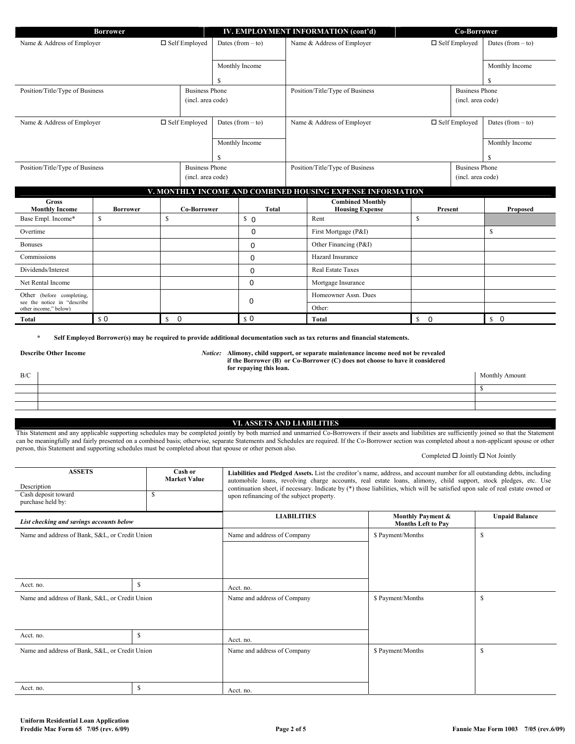|                                                          | <b>Borrower</b> |                                |                       |                     |  | IV. EMPLOYMENT INFORMATION (cont'd)                        | <b>Co-Borrower</b>      |                       |                     |  |
|----------------------------------------------------------|-----------------|--------------------------------|-----------------------|---------------------|--|------------------------------------------------------------|-------------------------|-----------------------|---------------------|--|
| Name & Address of Employer                               |                 | $\Box$ Self Employed           |                       | Dates (from $-$ to) |  | Name & Address of Employer                                 |                         | $\Box$ Self Employed  | Dates (from $-$ to) |  |
|                                                          |                 |                                |                       | Monthly Income      |  |                                                            |                         |                       | Monthly Income      |  |
|                                                          |                 |                                | S                     |                     |  |                                                            |                         |                       |                     |  |
| <b>Business Phone</b><br>Position/Title/Type of Business |                 |                                |                       |                     |  | Position/Title/Type of Business                            |                         | <b>Business Phone</b> |                     |  |
|                                                          |                 |                                | (incl. area code)     |                     |  |                                                            |                         | (incl. area code)     |                     |  |
|                                                          |                 |                                |                       |                     |  |                                                            |                         |                       |                     |  |
| Name & Address of Employer                               |                 | $\Box$ Self Employed           |                       | Dates (from $-$ to) |  | Name & Address of Employer                                 |                         | $\Box$ Self Employed  | Dates (from $-$ to) |  |
|                                                          |                 |                                |                       |                     |  |                                                            |                         |                       |                     |  |
|                                                          |                 |                                |                       | Monthly Income      |  |                                                            |                         |                       | Monthly Income      |  |
|                                                          |                 |                                | S                     |                     |  |                                                            |                         |                       |                     |  |
| Position/Title/Type of Business                          |                 |                                | <b>Business Phone</b> |                     |  | Position/Title/Type of Business                            |                         | <b>Business Phone</b> |                     |  |
|                                                          |                 |                                | (incl. area code)     |                     |  |                                                            |                         |                       | (incl. area code)   |  |
|                                                          |                 |                                |                       |                     |  | V. MONTHLY INCOME AND COMBINED HOUSING EXPENSE INFORMATION |                         |                       |                     |  |
| <b>Gross</b><br><b>Monthly Income</b>                    | <b>Borrower</b> |                                | Co-Borrower           | <b>Total</b>        |  | <b>Combined Monthly</b><br><b>Housing Expense</b>          | Present                 |                       | Proposed            |  |
| Base Empl. Income*                                       | S.              | \$                             |                       | $\sqrt{5}$ 0        |  | Rent                                                       | <sup>\$</sup>           |                       |                     |  |
| Overtime                                                 |                 |                                |                       | $\Omega$            |  | First Mortgage (P&I)                                       |                         |                       | \$                  |  |
| <b>Bonuses</b>                                           |                 |                                |                       | $\Omega$            |  | Other Financing (P&I)                                      |                         |                       |                     |  |
| Commissions                                              |                 |                                |                       | $\Omega$            |  | Hazard Insurance                                           |                         |                       |                     |  |
| Dividends/Interest                                       |                 |                                |                       | $\mathbf 0$         |  | <b>Real Estate Taxes</b>                                   |                         |                       |                     |  |
| Net Rental Income                                        |                 |                                |                       | $\Omega$            |  | Mortgage Insurance                                         |                         |                       |                     |  |
| Other (before completing,<br>see the notice in "describe |                 |                                |                       | 0                   |  | Homeowner Assn. Dues                                       |                         |                       |                     |  |
| other income," below)                                    |                 |                                |                       |                     |  | Other:                                                     |                         |                       |                     |  |
| Total                                                    | $\Omega$        | $\overline{0}$<br>$\mathbf{s}$ |                       | $\hat{s}$ 0         |  | Total                                                      | $\Omega$<br>$\mathbf S$ |                       | $\Omega$            |  |

 $\star$ Self Employed Borrower(s) may be required to provide additional documentation such as tax returns and financial statements.

**Describe Other Income** 

*Notice:* Alimony, child support, or separate maintenance income need not be revealed<br>if the Borrower (B) or Co-Borrower (C) does not choose to have it considered for repaying this loan.

| B/C | ---- - - <sub>T</sub> --, ---, ----- ------- | Monthly Amount |
|-----|----------------------------------------------|----------------|
|     |                                              |                |
|     |                                              |                |
|     |                                              |                |

## VI. ASSETS AND LIABILITIES

This Statement and any applicable supporting schedules may be completed jointly by both married and unmarried Co-Borrowers if their assets and liabilities are sufficiently joined so that the Statement can be meaningfully and fairly presented on a combined basis; otherwise, separate Statements and Schedules are required. If the Co-Borrower section was completed about a non-applicant spouse or other person, this Statement and supporting schedules must be completed about that spouse or other person also.

## Completed  $\square$  Jointly  $\square$  Not Jointly

| <b>ASSETS</b><br>Description<br>Cash deposit toward<br>purchase held by: | Cash or<br><b>Market Value</b><br>\$ | Liabilities and Pledged Assets. List the creditor's name, address, and account number for all outstanding debts, including<br>automobile loans, revolving charge accounts, real estate loans, alimony, child support, stock pledges, etc. Use<br>continuation sheet, if necessary. Indicate by (*) those liabilities, which will be satisfied upon sale of real estate owned or<br>upon refinancing of the subject property. |                                                |                       |  |  |  |  |
|--------------------------------------------------------------------------|--------------------------------------|------------------------------------------------------------------------------------------------------------------------------------------------------------------------------------------------------------------------------------------------------------------------------------------------------------------------------------------------------------------------------------------------------------------------------|------------------------------------------------|-----------------------|--|--|--|--|
| List checking and savings accounts below                                 |                                      | <b>LIABILITIES</b>                                                                                                                                                                                                                                                                                                                                                                                                           | Monthly Payment &<br><b>Months Left to Pay</b> | <b>Unpaid Balance</b> |  |  |  |  |
| Name and address of Bank, S&L, or Credit Union                           |                                      | Name and address of Company                                                                                                                                                                                                                                                                                                                                                                                                  | \$ Payment/Months                              | S                     |  |  |  |  |
|                                                                          |                                      |                                                                                                                                                                                                                                                                                                                                                                                                                              |                                                |                       |  |  |  |  |
|                                                                          |                                      |                                                                                                                                                                                                                                                                                                                                                                                                                              |                                                |                       |  |  |  |  |
| Acct. no.                                                                | <sup>\$</sup>                        | Acct. no.                                                                                                                                                                                                                                                                                                                                                                                                                    |                                                |                       |  |  |  |  |
| Name and address of Bank, S&L, or Credit Union                           |                                      | Name and address of Company                                                                                                                                                                                                                                                                                                                                                                                                  | \$ Payment/Months                              | \$                    |  |  |  |  |
|                                                                          |                                      |                                                                                                                                                                                                                                                                                                                                                                                                                              |                                                |                       |  |  |  |  |
| Acct. no.                                                                | \$                                   | Acct. no.                                                                                                                                                                                                                                                                                                                                                                                                                    |                                                |                       |  |  |  |  |
| Name and address of Bank, S&L, or Credit Union                           |                                      | Name and address of Company                                                                                                                                                                                                                                                                                                                                                                                                  | \$ Payment/Months                              | \$                    |  |  |  |  |
|                                                                          |                                      |                                                                                                                                                                                                                                                                                                                                                                                                                              |                                                |                       |  |  |  |  |
|                                                                          |                                      |                                                                                                                                                                                                                                                                                                                                                                                                                              |                                                |                       |  |  |  |  |
| Acct. no.                                                                | \$                                   | Acct no                                                                                                                                                                                                                                                                                                                                                                                                                      |                                                |                       |  |  |  |  |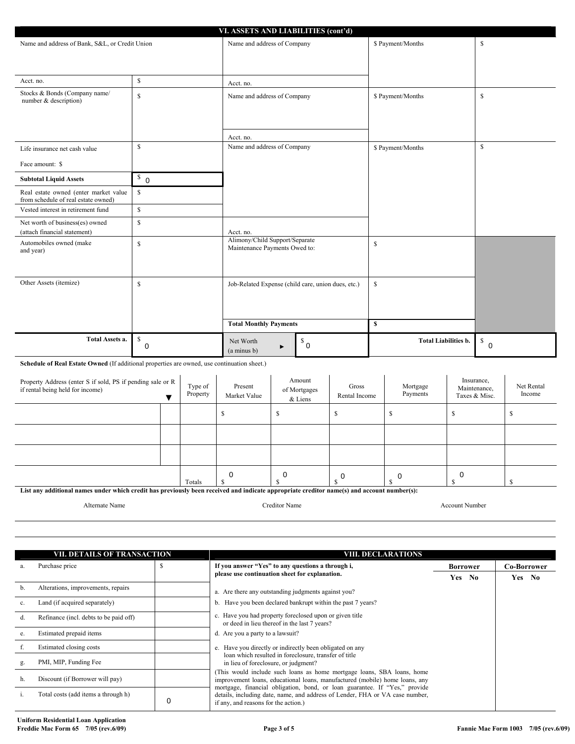|                                                                              |               | VI. ASSETS AND LIABILITIES (cont'd)                             |         |                             |             |
|------------------------------------------------------------------------------|---------------|-----------------------------------------------------------------|---------|-----------------------------|-------------|
| Name and address of Bank, S&L, or Credit Union                               |               | Name and address of Company                                     |         | \$ Payment/Months           | $\mathbf S$ |
|                                                                              |               |                                                                 |         |                             |             |
| Acct. no.                                                                    | \$            | Acct. no.                                                       |         |                             |             |
| Stocks & Bonds (Company name/<br>number $&$ description)                     | $\mathsf{\$}$ | Name and address of Company                                     |         | \$ Payment/Months           | <b>S</b>    |
|                                                                              |               |                                                                 |         |                             |             |
|                                                                              |               | Acct. no.                                                       |         |                             |             |
| Life insurance net cash value                                                | $\mathsf{\$}$ | Name and address of Company                                     |         | \$ Payment/Months           | $\mathbf S$ |
| Face amount: \$                                                              |               |                                                                 |         |                             |             |
| <b>Subtotal Liquid Assets</b>                                                | $\sqrt[3]{6}$ |                                                                 |         |                             |             |
| Real estate owned (enter market value<br>from schedule of real estate owned) | \$            |                                                                 |         |                             |             |
| Vested interest in retirement fund                                           | $\mathbf S$   |                                                                 |         |                             |             |
| Net worth of business(es) owned<br>(attach financial statement)              | $\mathbf S$   | Acct. no.                                                       |         |                             |             |
| Automobiles owned (make<br>and year)                                         | \$            | Alimony/Child Support/Separate<br>Maintenance Payments Owed to: |         | $\mathbb{S}$                |             |
|                                                                              |               |                                                                 |         |                             |             |
| Other Assets (itemize)                                                       | $\mathbf S$   | Job-Related Expense (child care, union dues, etc.)              |         | <sup>\$</sup>               |             |
|                                                                              |               |                                                                 |         |                             |             |
|                                                                              |               |                                                                 |         |                             |             |
|                                                                              |               | <b>Total Monthly Payments</b>                                   |         | \$                          |             |
| Total Assets a.                                                              | \$<br>0       | Net Worth<br>(a minus b)                                        | $s_{0}$ | <b>Total Liabilities b.</b> | $S_{0}$     |
|                                                                              |               |                                                                 |         |                             |             |

Schedule of Real Estate Owned (If additional properties are owned, use continuation sheet.)

| Property Address (enter S if sold, PS if pending sale or R<br>if rental being held for income)                                             |  | Type of<br>Property | Present<br>Market Value | Amount<br>of Mortgages<br>& Liens | Gross<br>Rental Income | Mortgage<br>Payments | Insurance,<br>Maintenance,<br>Taxes & Misc. | Net Rental<br>Income |
|--------------------------------------------------------------------------------------------------------------------------------------------|--|---------------------|-------------------------|-----------------------------------|------------------------|----------------------|---------------------------------------------|----------------------|
|                                                                                                                                            |  |                     |                         |                                   |                        |                      |                                             |                      |
|                                                                                                                                            |  |                     |                         |                                   |                        |                      |                                             |                      |
|                                                                                                                                            |  |                     |                         |                                   |                        |                      |                                             |                      |
|                                                                                                                                            |  | Totals              |                         |                                   |                        |                      |                                             |                      |
| List any additional names under which credit has previously been received and indicate appropriate creditor name(s) and account number(s). |  |                     |                         |                                   |                        |                      |                                             |                      |

ber(s): h credit has previously been received and indi cate appropriate creditor na **le(s) and account num** 

Alternate Name

Creditor Name

Account Number

| ٠  | <b>VII. DETAILS OF TRANSACTION</b>     |   | <b>VIII. DECLARATIONS</b>                                                                                                                                                                          |                 |             |
|----|----------------------------------------|---|----------------------------------------------------------------------------------------------------------------------------------------------------------------------------------------------------|-----------------|-------------|
| a. | Purchase price                         | S | If you answer "Yes" to any questions a through i,                                                                                                                                                  | <b>Borrower</b> | Co-Borrower |
|    |                                        |   | please use continuation sheet for explanation.                                                                                                                                                     | No.<br>Yes      | Yes No      |
| b. | Alterations, improvements, repairs     |   | a. Are there any outstanding judgments against you?                                                                                                                                                |                 |             |
| c. | Land (if acquired separately)          |   | b. Have you been declared bankrupt within the past 7 years?                                                                                                                                        |                 |             |
| d. | Refinance (incl. debts to be paid off) |   | c. Have you had property foreclosed upon or given title<br>or deed in lieu thereof in the last 7 years?                                                                                            |                 |             |
|    | Estimated prepaid items                |   | d. Are you a party to a lawsuit?                                                                                                                                                                   |                 |             |
|    | Estimated closing costs                |   | e. Have you directly or indirectly been obligated on any                                                                                                                                           |                 |             |
|    | PMI, MIP, Funding Fee                  |   | loan which resulted in foreclosure, transfer of title<br>in lieu of foreclosure, or judgment?                                                                                                      |                 |             |
| h. | Discount (if Borrower will pay)        |   | (This would include such loans as home mortgage loans, SBA loans, home<br>improvement loans, educational loans, manufactured (mobile) home loans, any                                              |                 |             |
|    | Total costs (add items a through h)    |   | mortgage, financial obligation, bond, or loan guarantee. If "Yes," provide<br>details, including date, name, and address of Lender, FHA or VA case number,<br>if any, and reasons for the action.) |                 |             |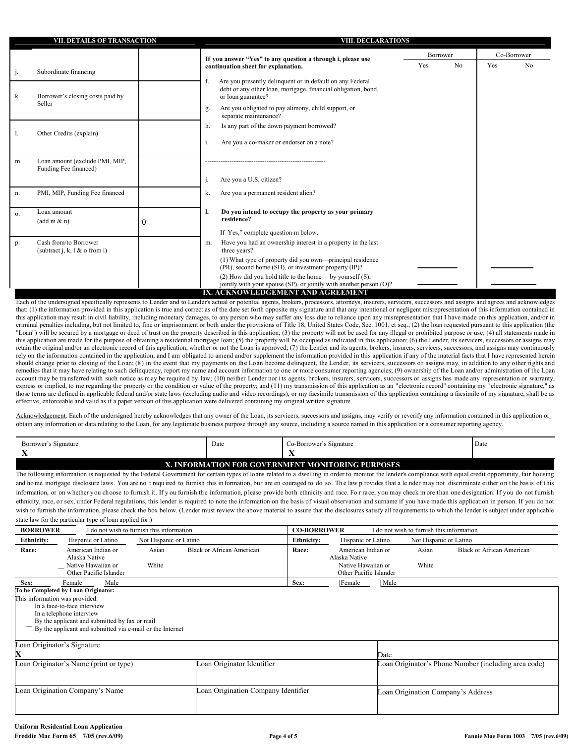|                | VII. DETAILS OF TRANSACTION                                        |   |    | <b>VIII. DECLARATIONS</b>                                                                                                                        |          |    |             |                |  |  |  |
|----------------|--------------------------------------------------------------------|---|----|--------------------------------------------------------------------------------------------------------------------------------------------------|----------|----|-------------|----------------|--|--|--|
|                |                                                                    |   |    | If you answer "Yes" to any question a through i, please use                                                                                      | Borrower |    | Co-Borrower |                |  |  |  |
| $\mathbf{j}$ . | Subordinate financing                                              |   |    | continuation sheet for explanation.                                                                                                              | Yes      | No | Yes         | N <sub>o</sub> |  |  |  |
| k.             | Borrower's closing costs paid by                                   |   |    | Are you presently delinquent or in default on any Federal<br>debt or any other loan, mortgage, financial obligation, bond,<br>or loan guarantee? |          |    |             |                |  |  |  |
|                | Seller                                                             |   | g. | Are you obligated to pay alimony, child support, or<br>separate maintenance?                                                                     |          |    |             |                |  |  |  |
| 1.             | Other Credits (explain)                                            |   | h. | Is any part of the down payment borrowed?                                                                                                        |          |    |             |                |  |  |  |
|                |                                                                    |   | 1. | Are you a co-maker or endorser on a note?                                                                                                        |          |    |             |                |  |  |  |
| m.             | Loan amount (exclude PMI, MIP,<br>Funding Fee financed)            |   |    |                                                                                                                                                  |          |    |             |                |  |  |  |
|                |                                                                    |   |    | Are you a U.S. citizen?                                                                                                                          |          |    |             |                |  |  |  |
| n.             | PMI, MIP, Funding Fee financed                                     |   | k. | Are you a permanent resident alien?                                                                                                              |          |    |             |                |  |  |  |
| $\mathbf{O}$ . | Loan amount<br>$(\text{add } m \& n)$                              | 0 |    | Do you intend to occupy the property as your primary<br>residence?                                                                               |          |    |             |                |  |  |  |
|                |                                                                    |   |    | If Yes," complete question m below.                                                                                                              |          |    |             |                |  |  |  |
| p.             | Cash from/to Borrower<br>(subtract j, k, $\frac{1}{2}$ & o from i) |   | m. | Have you had an ownership interest in a property in the last<br>three years?                                                                     |          |    |             |                |  |  |  |
|                |                                                                    |   |    | (1) What type of property did you own—principal residence<br>(PR), second home (SH), or investment property (IP)?                                |          |    |             |                |  |  |  |
|                |                                                                    |   |    | $(2)$ How did you hold title to the home— by yourself $(S)$ ,<br>jointly with your spouse (SP), or jointly with another person (O)?              |          |    |             |                |  |  |  |
|                |                                                                    |   |    | IX. ACKNOWLEDGEMENT AND AGREEMENT                                                                                                                |          |    |             |                |  |  |  |

Each of the undersigned specifically represents to Lender and to Lender's actual or potential agents, brokers, processors, attorneys, insurers, servicers, successors and assigns and agrees and acknowledges that: (1) the information provided in this application is true and correct as of the date set forth opposite my signature and that any intentional or negligent misrepresentation of this information contained in this application may result in civil liability, including monetary damages, to any person who may suffer any loss due to reliance upon any misrepresentation that I have made on this application, and/or in criminal penalties including, but not limited to, fine or imprisonment or both under the provisions of Title 18, United States Code, Sec. 1001, et seq.; (2) the loan requested pursuant to this application (the "Loan") will be secured by a mortgage or deed of trust on the property described in this application; (3) the property will not be used for any illegal or prohibited purpose or use; (4) all statements made in this application are made for the purpose of obtaining a residential mortgage loan; (5) the property will be occupied as indicated in this application; (6) the Lender, its servicers, successors or assigns may retain the original and/or an electronic record of this application, whether or not the Loan is approved; (7) the Lender and its agents, brokers, insurers, servicers, successors, and assigns may continuously rely on the information contained in the application, and I am obligated to amend and/or supplement the information provided in this application if any of the material facts that I have represented herein should change prior to closing of the Loan; (8) in the event that my payments on the Loan become delinquent, the Lender, its servicers, successors or assigns may, in addition to any other rights and remedies that it may have relating to such delinquency, report my name and account information to one or more consumer reporting agencies; (9) ownership of the Loan and/or administration of the Loan account may be transferred with such notice as may be required by law; (10) neither Lender nor its agents, brokers, insurers, servicers, successors or assigns has made any representation or warranty, express or implied, to me regarding the property or the condition or value of the property; and (11) my transmission of this application as an "electronic record" containing my "electronic signature," as those terms are defined in applicable federal and/or state laws (excluding audio and video recordings), or my facsimile transmission of this application containing a facsimile of my signature, shall be as effective, enforceable and valid as if a paper version of this application were delivered containing my original written signature.

Acknowledgement. Each of the undersigned hereby acknowledges that any owner of the Loan, its servicers, successors and assigns, may verify or reverify any information contained in this application or obtain any information or data relating to the Loan, for any legitimate business purpose through any source, including a source named in this application or a consumer reporting agency.

| Borrower's Signature                              | Date | Co-Borrower's Signature | Date |  |  |  |  |  |
|---------------------------------------------------|------|-------------------------|------|--|--|--|--|--|
|                                                   |      |                         |      |  |  |  |  |  |
| X. INFORMATION FOR GOVERNMENT MONITORING PURPOSES |      |                         |      |  |  |  |  |  |

The following information is requested by the Federal Government for certain types of loans related to a dwelling in order to monitor the lender's compliance with equal credit opportunity, fair housing and home mortgage disclosure laws. You are no trequired to furnish this in formation, but are en couraged to do so. The law p rovides that a le nder may not discriminate ei ther on the bas is of this information, or on whether you choose to furnish it. If y ou furnish the information, please provide both ethnicity and race. Fo r race, you may check m ore than one designation. If you do not furnish ethnicity, race, or sex, under Federal regulations, this lender is required to note the information on the basis of visual observation and surname if you have made this application in person. If you do not wish to furnish the information, please check the box below. (Lender must review the above material to assure that the disclosures satisfy all requirements to which the lender is subject under applicable state law for the particular type of loan applied for.)

| do not wish to furnish this information<br><b>BORROWER</b>             |                                     | <b>CO-BORROWER</b><br>I do not wish to furnish this information |                                     |                        |                        |                                                      |
|------------------------------------------------------------------------|-------------------------------------|-----------------------------------------------------------------|-------------------------------------|------------------------|------------------------|------------------------------------------------------|
| Hispanic or Latino<br>Not Hispanic or Latino<br><b>Ethnicity:</b>      |                                     | <b>Ethnicity:</b>                                               |                                     | Hispanic or Latino     | Not Hispanic or Latino |                                                      |
| American Indian or<br>Asian<br>Race:                                   | Black or African American           | Race:                                                           |                                     | American Indian or     | Asian                  | Black or African American                            |
| Alaska Native<br>Native Hawaiian or<br>White<br>Other Pacific Islander |                                     |                                                                 | Alaska Native<br>Native Hawaiian or | Other Pacific Islander | White                  |                                                      |
| Male<br>Female<br>Sex:                                                 |                                     | Sex:                                                            | Female                              | Male                   |                        |                                                      |
| To be Completed by Loan Originator:                                    |                                     |                                                                 |                                     |                        |                        |                                                      |
| This information was provided:                                         |                                     |                                                                 |                                     |                        |                        |                                                      |
| In a face-to-face interview                                            |                                     |                                                                 |                                     |                        |                        |                                                      |
| In a telephone interview                                               |                                     |                                                                 |                                     |                        |                        |                                                      |
| By the applicant and submitted by fax or mail                          |                                     |                                                                 |                                     |                        |                        |                                                      |
| By the applicant and submitted via e-mail or the Internet              |                                     |                                                                 |                                     |                        |                        |                                                      |
| Loan Originator's Signature                                            |                                     |                                                                 |                                     |                        |                        |                                                      |
| X                                                                      |                                     |                                                                 |                                     |                        |                        |                                                      |
|                                                                        |                                     |                                                                 |                                     | Date                   |                        |                                                      |
| Loan Originator's Name (print or type)                                 | Loan Originator Identifier          |                                                                 |                                     |                        |                        | Loan Originator's Phone Number (including area code) |
|                                                                        |                                     |                                                                 |                                     |                        |                        |                                                      |
|                                                                        |                                     |                                                                 |                                     |                        |                        |                                                      |
| Loan Origination Company's Name                                        | Loan Origination Company Identifier |                                                                 |                                     |                        |                        | Loan Origination Company's Address                   |
|                                                                        |                                     |                                                                 |                                     |                        |                        |                                                      |
|                                                                        |                                     |                                                                 |                                     |                        |                        |                                                      |
|                                                                        |                                     |                                                                 |                                     |                        |                        |                                                      |